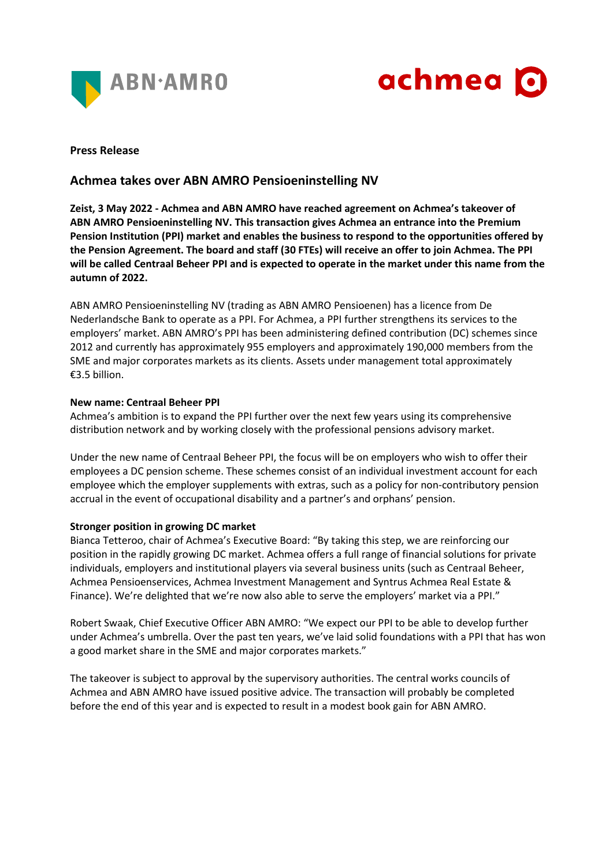



### **Press Release**

# **Achmea takes over ABN AMRO Pensioeninstelling NV**

**Zeist, 3 May 2022 - Achmea and ABN AMRO have reached agreement on Achmea's takeover of ABN AMRO Pensioeninstelling NV. This transaction gives Achmea an entrance into the Premium Pension Institution (PPI) market and enables the business to respond to the opportunities offered by the Pension Agreement. The board and staff (30 FTEs) will receive an offer to join Achmea. The PPI will be called Centraal Beheer PPI and is expected to operate in the market under this name from the autumn of 2022.**

ABN AMRO Pensioeninstelling NV (trading as ABN AMRO Pensioenen) has a licence from De Nederlandsche Bank to operate as a PPI. For Achmea, a PPI further strengthens its services to the employers' market. ABN AMRO's PPI has been administering defined contribution (DC) schemes since 2012 and currently has approximately 955 employers and approximately 190,000 members from the SME and major corporates markets as its clients. Assets under management total approximately €3.5 billion.

#### **New name: Centraal Beheer PPI**

Achmea's ambition is to expand the PPI further over the next few years using its comprehensive distribution network and by working closely with the professional pensions advisory market.

Under the new name of Centraal Beheer PPI, the focus will be on employers who wish to offer their employees a DC pension scheme. These schemes consist of an individual investment account for each employee which the employer supplements with extras, such as a policy for non-contributory pension accrual in the event of occupational disability and a partner's and orphans' pension.

## **Stronger position in growing DC market**

Bianca Tetteroo, chair of Achmea's Executive Board: "By taking this step, we are reinforcing our position in the rapidly growing DC market. Achmea offers a full range of financial solutions for private individuals, employers and institutional players via several business units (such as Centraal Beheer, Achmea Pensioenservices, Achmea Investment Management and Syntrus Achmea Real Estate & Finance). We're delighted that we're now also able to serve the employers' market via a PPI."

Robert Swaak, Chief Executive Officer ABN AMRO: "We expect our PPI to be able to develop further under Achmea's umbrella. Over the past ten years, we've laid solid foundations with a PPI that has won a good market share in the SME and major corporates markets."

The takeover is subject to approval by the supervisory authorities. The central works councils of Achmea and ABN AMRO have issued positive advice. The transaction will probably be completed before the end of this year and is expected to result in a modest book gain for ABN AMRO.